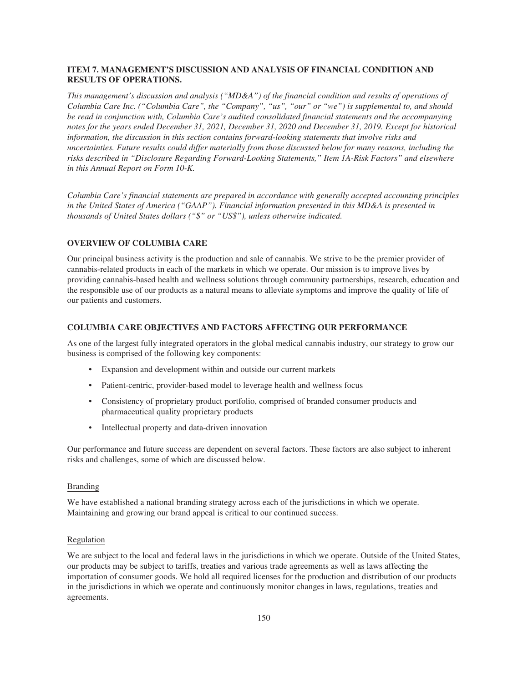# **ITEM 7. MANAGEMENT'S DISCUSSION AND ANALYSIS OF FINANCIAL CONDITION AND RESULTS OF OPERATIONS.**

*This management's discussion and analysis ("MD&A") of the financial condition and results of operations of Columbia Care Inc. ("Columbia Care", the "Company", "us", "our" or "we") is supplemental to, and should be read in conjunction with, Columbia Care's audited consolidated financial statements and the accompanying notes for the years ended December 31, 2021, December 31, 2020 and December 31, 2019. Except for historical information, the discussion in this section contains forward-looking statements that involve risks and uncertainties. Future results could differ materially from those discussed below for many reasons, including the risks described in "Disclosure Regarding Forward-Looking Statements," Item 1A-Risk Factors" and elsewhere in this Annual Report on Form 10-K.*

*Columbia Care's financial statements are prepared in accordance with generally accepted accounting principles in the United States of America ("GAAP"). Financial information presented in this MD&A is presented in thousands of United States dollars ("\$" or "US\$"), unless otherwise indicated.*

# **OVERVIEW OF COLUMBIA CARE**

Our principal business activity is the production and sale of cannabis. We strive to be the premier provider of cannabis-related products in each of the markets in which we operate. Our mission is to improve lives by providing cannabis-based health and wellness solutions through community partnerships, research, education and the responsible use of our products as a natural means to alleviate symptoms and improve the quality of life of our patients and customers.

## **COLUMBIA CARE OBJECTIVES AND FACTORS AFFECTING OUR PERFORMANCE**

As one of the largest fully integrated operators in the global medical cannabis industry, our strategy to grow our business is comprised of the following key components:

- Expansion and development within and outside our current markets
- Patient-centric, provider-based model to leverage health and wellness focus
- Consistency of proprietary product portfolio, comprised of branded consumer products and pharmaceutical quality proprietary products
- Intellectual property and data-driven innovation

Our performance and future success are dependent on several factors. These factors are also subject to inherent risks and challenges, some of which are discussed below.

#### Branding

We have established a national branding strategy across each of the jurisdictions in which we operate. Maintaining and growing our brand appeal is critical to our continued success.

# Regulation

We are subject to the local and federal laws in the jurisdictions in which we operate. Outside of the United States, our products may be subject to tariffs, treaties and various trade agreements as well as laws affecting the importation of consumer goods. We hold all required licenses for the production and distribution of our products in the jurisdictions in which we operate and continuously monitor changes in laws, regulations, treaties and agreements.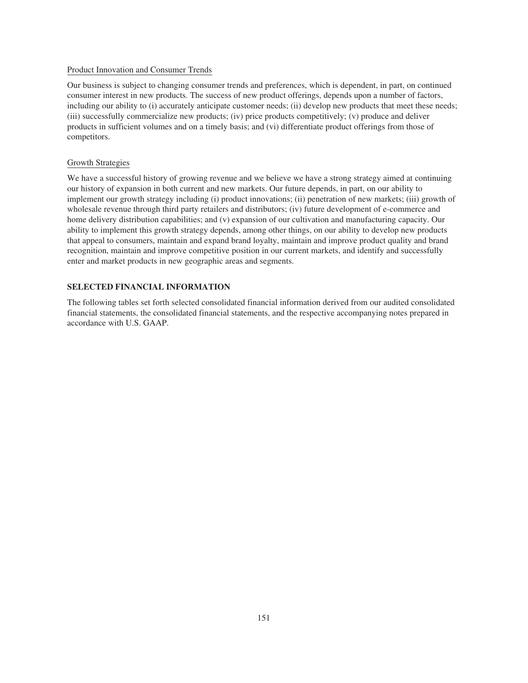# Product Innovation and Consumer Trends

Our business is subject to changing consumer trends and preferences, which is dependent, in part, on continued consumer interest in new products. The success of new product offerings, depends upon a number of factors, including our ability to (i) accurately anticipate customer needs; (ii) develop new products that meet these needs; (iii) successfully commercialize new products; (iv) price products competitively; (v) produce and deliver products in sufficient volumes and on a timely basis; and (vi) differentiate product offerings from those of competitors.

# Growth Strategies

We have a successful history of growing revenue and we believe we have a strong strategy aimed at continuing our history of expansion in both current and new markets. Our future depends, in part, on our ability to implement our growth strategy including (i) product innovations; (ii) penetration of new markets; (iii) growth of wholesale revenue through third party retailers and distributors; (iv) future development of e-commerce and home delivery distribution capabilities; and (v) expansion of our cultivation and manufacturing capacity. Our ability to implement this growth strategy depends, among other things, on our ability to develop new products that appeal to consumers, maintain and expand brand loyalty, maintain and improve product quality and brand recognition, maintain and improve competitive position in our current markets, and identify and successfully enter and market products in new geographic areas and segments.

# **SELECTED FINANCIAL INFORMATION**

The following tables set forth selected consolidated financial information derived from our audited consolidated financial statements, the consolidated financial statements, and the respective accompanying notes prepared in accordance with U.S. GAAP.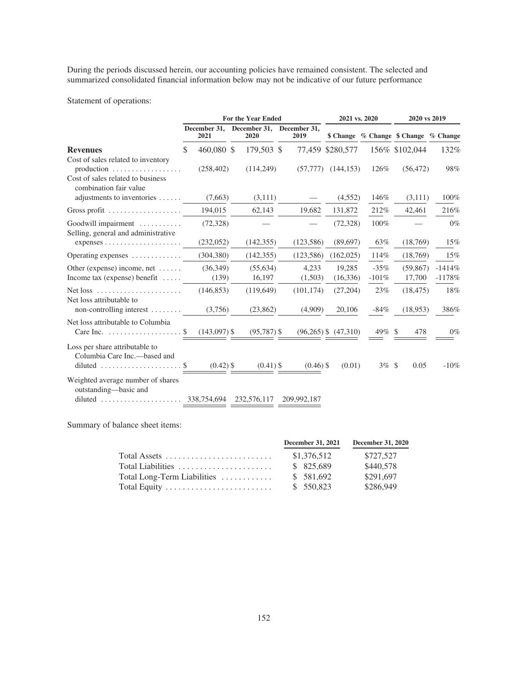During the periods discussed herein, our accounting policies have remained consistent. The selected and summarized consolidated financial information below may not be indicative of our future performance

Statement of operations:

|                                                                                                                                                      | <b>For the Year Ended</b> |                      |  | 2021 vs. 2020        |                      |                          | 2020 vs 2019                          |               |                     |                      |
|------------------------------------------------------------------------------------------------------------------------------------------------------|---------------------------|----------------------|--|----------------------|----------------------|--------------------------|---------------------------------------|---------------|---------------------|----------------------|
|                                                                                                                                                      |                           | December 31,<br>2021 |  | December 31,<br>2020 | December 31,<br>2019 |                          | \$ Change % Change \$ Change % Change |               |                     |                      |
| <b>Revenues</b>                                                                                                                                      | \$                        | 460,080 \$           |  | 179,503 \$           |                      | 77,459 \$280,577         |                                       |               | 156% \$102,044      | 132%                 |
| Cost of sales related to inventory<br>production $\ldots \ldots \ldots \ldots \ldots$<br>Cost of sales related to business<br>combination fair value |                           | (258, 402)           |  | (114,249)            | (57, 777)            | (144, 153)               | 126\%                                 |               | (56, 472)           | 98%                  |
| adjustments to inventories                                                                                                                           |                           | (7,663)              |  | (3,111)              |                      | (4,552)                  | 146%                                  |               | (3,111)             | 100%                 |
| Gross profit $\ldots \ldots \ldots \ldots \ldots$                                                                                                    |                           | 194,015              |  | 62,143               | 19,682               | 131,872                  | 212%                                  |               | 42,461              | 216%                 |
| Goodwill impairment<br>Selling, general and administrative                                                                                           |                           | (72, 328)            |  |                      |                      | (72, 328)                | 100%                                  |               |                     | $0\%$                |
|                                                                                                                                                      |                           | (232,052)            |  | (142, 355)           | (123, 586)           | (89,697)                 | 63%                                   |               | (18,769)            | 15%                  |
| Operating expenses                                                                                                                                   |                           | (304, 380)           |  | (142, 355)           | (123, 586)           | (162, 025)               | 114%                                  |               | (18,769)            | 15%                  |
| Other (expense) income, net $\dots$ .<br>Income tax (expense) benefit $\dots$                                                                        |                           | (36, 349)<br>(139)   |  | (55, 634)<br>16,197  | 4,233<br>(1,503)     | 19,285<br>(16,336)       | $-35%$<br>$-101%$                     |               | (59, 867)<br>17,700 | $-1414%$<br>$-1178%$ |
| Net loss<br>Net loss attributable to                                                                                                                 |                           | (146, 853)           |  | (119, 649)           | (101, 174)           | (27,204)                 | 23%                                   |               | (18, 475)           | 18%                  |
| non-controlling interest $\dots\dots$                                                                                                                |                           | (3,756)              |  | (23, 862)            | (4,909)              | 20,106                   | $-84%$                                |               | (18,953)            | 386%                 |
| Net loss attributable to Columbia<br>Care Inc. $\dots \dots \dots \dots \dots \dots$                                                                 |                           | $(143,097)$ \$       |  | $(95,787)$ \$        |                      | $(96,265)$ \$ $(47,310)$ | 49%                                   | <sup>\$</sup> | 478                 | $0\%$                |
| Loss per share attributable to<br>Columbia Care Inc.—based and                                                                                       |                           |                      |  |                      |                      |                          |                                       |               |                     |                      |
| diluted $\ldots \ldots \ldots \ldots \ldots \ldots$                                                                                                  |                           | $(0.42)$ \$          |  | $(0.41)$ \$          | $(0.46)$ \$          | (0.01)                   | $3\%$ \$                              |               | 0.05                | $-10\%$              |
| Weighted average number of shares<br>outstanding-basic and                                                                                           |                           |                      |  |                      | 209,992,187          |                          |                                       |               |                     |                      |

Summary of balance sheet items:

|                                                                | <b>December 31, 2021</b> | <b>December 31, 2020</b> |
|----------------------------------------------------------------|--------------------------|--------------------------|
| Total Assets $\dots \dots \dots \dots \dots \dots \dots \dots$ | \$1,376,512              | \$727,527                |
| Total Liabilities                                              | \$ 825,689               | \$440,578                |
| Total Long-Term Liabilities $\ldots \ldots \ldots$             | \$581,692                | \$291,697                |
|                                                                | \$ 550,823               | \$286,949                |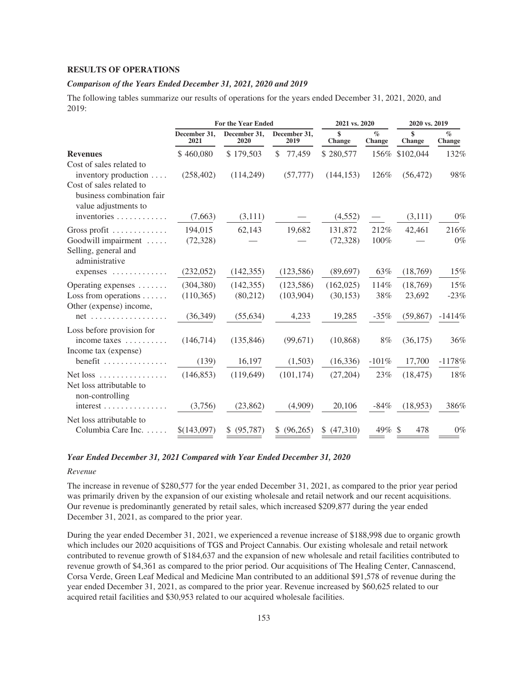### **RESULTS OF OPERATIONS**

### *Comparison of the Years Ended December 31, 2021, 2020 and 2019*

The following tables summarize our results of operations for the years ended December 31, 2021, 2020, and 2019:

|                                                                                      |                      | <b>For the Year Ended</b> |                        |                     | 2021 vs. 2020  | 2020 vs. 2019 |                           |
|--------------------------------------------------------------------------------------|----------------------|---------------------------|------------------------|---------------------|----------------|---------------|---------------------------|
|                                                                                      | December 31,<br>2021 | December 31,<br>2020      | December 31,<br>2019   | \$<br><b>Change</b> | $\%$<br>Change | \$<br>Change  | $\mathcal{O}_0$<br>Change |
| <b>Revenues</b>                                                                      | \$460,080            | \$179,503                 | $\mathbb{S}$<br>77,459 | \$280,577           | 156%           | \$102,044     | 132%                      |
| Cost of sales related to<br>inventory production $\dots$<br>Cost of sales related to | (258, 402)           | (114,249)                 | (57, 777)              | (144, 153)          | 126%           | (56, 472)     | 98%                       |
| business combination fair<br>value adjustments to                                    |                      |                           |                        |                     |                |               |                           |
| inventories                                                                          | (7,663)              | (3,111)                   |                        | (4,552)             |                | (3,111)       | $0\%$                     |
| Gross profit                                                                         | 194,015              | 62,143                    | 19,682                 | 131,872             | 212%           | 42,461        | 216%                      |
| Goodwill impairment<br>Selling, general and<br>administrative                        | (72, 328)            |                           |                        | (72, 328)           | 100%           |               | $0\%$                     |
| expenses                                                                             | (232,052)            | (142, 355)                | (123, 586)             | (89,697)            | 63%            | (18,769)      | 15%                       |
| Operating expenses                                                                   | (304, 380)           | (142, 355)                | (123, 586)             | (162, 025)          | 114%           | (18,769)      | 15%                       |
| Loss from operations $\dots$ .<br>Other (expense) income,                            | (110, 365)           | (80,212)                  | (103,904)              | (30, 153)           | 38%            | 23,692        | $-23%$                    |
| $net \dots \dots \dots \dots \dots \dots \dots$                                      | (36,349)             | (55, 634)                 | 4,233                  | 19,285              | $-35%$         | (59, 867)     | $-1414%$                  |
| Loss before provision for<br>income taxes $\dots\dots\dots$                          | (146,714)            | (135, 846)                | (99, 671)              | (10, 868)           | 8%             | (36, 175)     | 36%                       |
| Income tax (expense)<br>$benefit$                                                    | (139)                | 16,197                    | (1,503)                | (16, 336)           | $-101%$        | 17,700        | $-1178%$                  |
| Net loss<br>Net loss attributable to                                                 | (146, 853)           | (119, 649)                | (101, 174)             | (27,204)            | 23%            | (18, 475)     | 18%                       |
| non-controlling<br>$interest \ldots \ldots \ldots \ldots$                            | (3,756)              | (23, 862)                 | (4,909)                | 20,106              | $-84\%$        | (18,953)      | 386%                      |
| Net loss attributable to<br>Columbia Care Inc.                                       | \$(143,097)          | \$ (95,787)               | \$ (96,265)            | \$ (47,310)         | $49\%$ \$      | 478           | $0\%$                     |

### *Year Ended December 31, 2021 Compared with Year Ended December 31, 2020*

#### *Revenue*

The increase in revenue of \$280,577 for the year ended December 31, 2021, as compared to the prior year period was primarily driven by the expansion of our existing wholesale and retail network and our recent acquisitions. Our revenue is predominantly generated by retail sales, which increased \$209,877 during the year ended December 31, 2021, as compared to the prior year.

During the year ended December 31, 2021, we experienced a revenue increase of \$188,998 due to organic growth which includes our 2020 acquisitions of TGS and Project Cannabis. Our existing wholesale and retail network contributed to revenue growth of \$184,637 and the expansion of new wholesale and retail facilities contributed to revenue growth of \$4,361 as compared to the prior period. Our acquisitions of The Healing Center, Cannascend, Corsa Verde, Green Leaf Medical and Medicine Man contributed to an additional \$91,578 of revenue during the year ended December 31, 2021, as compared to the prior year. Revenue increased by \$60,625 related to our acquired retail facilities and \$30,953 related to our acquired wholesale facilities.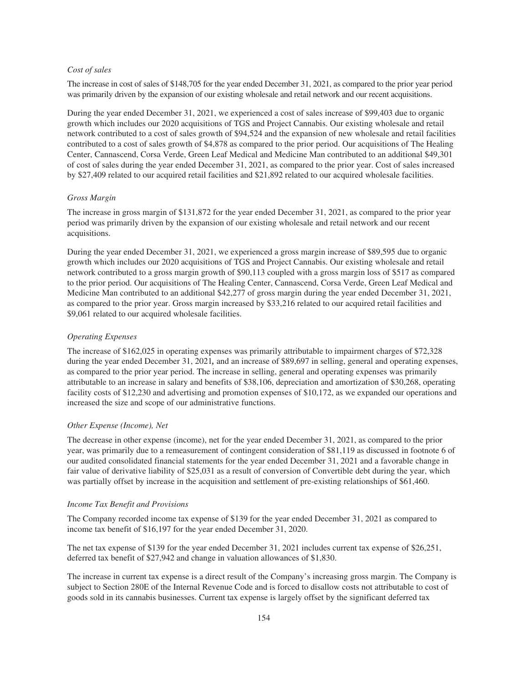### *Cost of sales*

The increase in cost of sales of \$148,705 for the year ended December 31, 2021, as compared to the prior year period was primarily driven by the expansion of our existing wholesale and retail network and our recent acquisitions.

During the year ended December 31, 2021, we experienced a cost of sales increase of \$99,403 due to organic growth which includes our 2020 acquisitions of TGS and Project Cannabis. Our existing wholesale and retail network contributed to a cost of sales growth of \$94,524 and the expansion of new wholesale and retail facilities contributed to a cost of sales growth of \$4,878 as compared to the prior period. Our acquisitions of The Healing Center, Cannascend, Corsa Verde, Green Leaf Medical and Medicine Man contributed to an additional \$49,301 of cost of sales during the year ended December 31, 2021, as compared to the prior year. Cost of sales increased by \$27,409 related to our acquired retail facilities and \$21,892 related to our acquired wholesale facilities.

### *Gross Margin*

The increase in gross margin of \$131,872 for the year ended December 31, 2021, as compared to the prior year period was primarily driven by the expansion of our existing wholesale and retail network and our recent acquisitions.

During the year ended December 31, 2021, we experienced a gross margin increase of \$89,595 due to organic growth which includes our 2020 acquisitions of TGS and Project Cannabis. Our existing wholesale and retail network contributed to a gross margin growth of \$90,113 coupled with a gross margin loss of \$517 as compared to the prior period. Our acquisitions of The Healing Center, Cannascend, Corsa Verde, Green Leaf Medical and Medicine Man contributed to an additional \$42,277 of gross margin during the year ended December 31, 2021, as compared to the prior year. Gross margin increased by \$33,216 related to our acquired retail facilities and \$9,061 related to our acquired wholesale facilities.

# *Operating Expenses*

The increase of \$162,025 in operating expenses was primarily attributable to impairment charges of \$72,328 during the year ended December 31, 2021*,* and an increase of \$89,697 in selling, general and operating expenses, as compared to the prior year period. The increase in selling, general and operating expenses was primarily attributable to an increase in salary and benefits of \$38,106, depreciation and amortization of \$30,268, operating facility costs of \$12,230 and advertising and promotion expenses of \$10,172, as we expanded our operations and increased the size and scope of our administrative functions.

### *Other Expense (Income), Net*

The decrease in other expense (income), net for the year ended December 31, 2021, as compared to the prior year, was primarily due to a remeasurement of contingent consideration of \$81,119 as discussed in footnote 6 of our audited consolidated financial statements for the year ended December 31, 2021 and a favorable change in fair value of derivative liability of \$25,031 as a result of conversion of Convertible debt during the year, which was partially offset by increase in the acquisition and settlement of pre-existing relationships of \$61,460.

#### *Income Tax Benefit and Provisions*

The Company recorded income tax expense of \$139 for the year ended December 31, 2021 as compared to income tax benefit of \$16,197 for the year ended December 31, 2020.

The net tax expense of \$139 for the year ended December 31, 2021 includes current tax expense of \$26,251, deferred tax benefit of \$27,942 and change in valuation allowances of \$1,830.

The increase in current tax expense is a direct result of the Company's increasing gross margin. The Company is subject to Section 280E of the Internal Revenue Code and is forced to disallow costs not attributable to cost of goods sold in its cannabis businesses. Current tax expense is largely offset by the significant deferred tax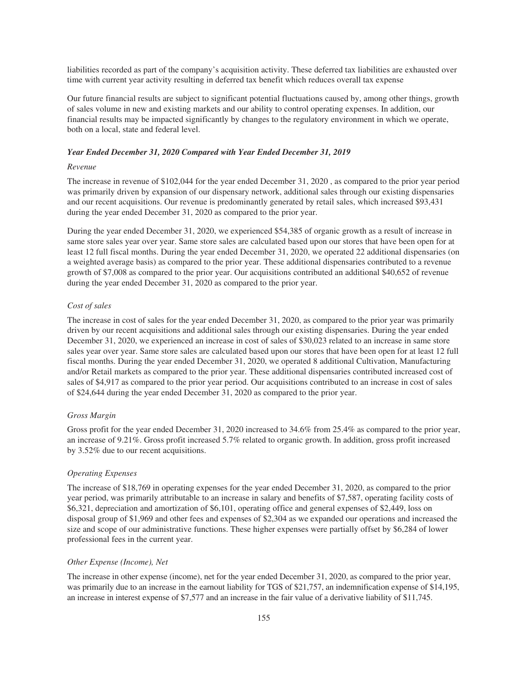liabilities recorded as part of the company's acquisition activity. These deferred tax liabilities are exhausted over time with current year activity resulting in deferred tax benefit which reduces overall tax expense

Our future financial results are subject to significant potential fluctuations caused by, among other things, growth of sales volume in new and existing markets and our ability to control operating expenses. In addition, our financial results may be impacted significantly by changes to the regulatory environment in which we operate, both on a local, state and federal level.

### *Year Ended December 31, 2020 Compared with Year Ended December 31, 2019*

# *Revenue*

The increase in revenue of \$102,044 for the year ended December 31, 2020 , as compared to the prior year period was primarily driven by expansion of our dispensary network, additional sales through our existing dispensaries and our recent acquisitions. Our revenue is predominantly generated by retail sales, which increased \$93,431 during the year ended December 31, 2020 as compared to the prior year.

During the year ended December 31, 2020, we experienced \$54,385 of organic growth as a result of increase in same store sales year over year. Same store sales are calculated based upon our stores that have been open for at least 12 full fiscal months. During the year ended December 31, 2020, we operated 22 additional dispensaries (on a weighted average basis) as compared to the prior year. These additional dispensaries contributed to a revenue growth of \$7,008 as compared to the prior year. Our acquisitions contributed an additional \$40,652 of revenue during the year ended December 31, 2020 as compared to the prior year.

### *Cost of sales*

The increase in cost of sales for the year ended December 31, 2020, as compared to the prior year was primarily driven by our recent acquisitions and additional sales through our existing dispensaries. During the year ended December 31, 2020, we experienced an increase in cost of sales of \$30,023 related to an increase in same store sales year over year. Same store sales are calculated based upon our stores that have been open for at least 12 full fiscal months. During the year ended December 31, 2020, we operated 8 additional Cultivation, Manufacturing and/or Retail markets as compared to the prior year. These additional dispensaries contributed increased cost of sales of \$4,917 as compared to the prior year period. Our acquisitions contributed to an increase in cost of sales of \$24,644 during the year ended December 31, 2020 as compared to the prior year.

#### *Gross Margin*

Gross profit for the year ended December 31, 2020 increased to 34.6% from 25.4% as compared to the prior year, an increase of 9.21%. Gross profit increased 5.7% related to organic growth. In addition, gross profit increased by 3.52% due to our recent acquisitions.

## *Operating Expenses*

The increase of \$18,769 in operating expenses for the year ended December 31, 2020, as compared to the prior year period, was primarily attributable to an increase in salary and benefits of \$7,587, operating facility costs of \$6,321, depreciation and amortization of \$6,101, operating office and general expenses of \$2,449, loss on disposal group of \$1,969 and other fees and expenses of \$2,304 as we expanded our operations and increased the size and scope of our administrative functions. These higher expenses were partially offset by \$6,284 of lower professional fees in the current year.

#### *Other Expense (Income), Net*

The increase in other expense (income), net for the year ended December 31, 2020, as compared to the prior year, was primarily due to an increase in the earnout liability for TGS of \$21,757, an indemnification expense of \$14,195, an increase in interest expense of \$7,577 and an increase in the fair value of a derivative liability of \$11,745.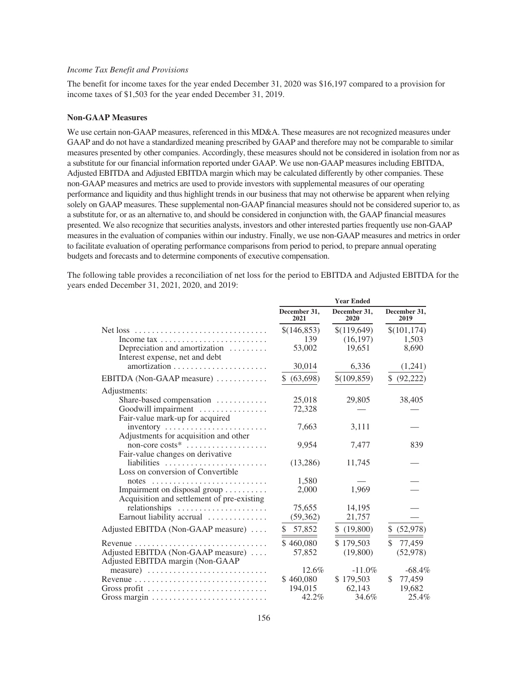### *Income Tax Benefit and Provisions*

The benefit for income taxes for the year ended December 31, 2020 was \$16,197 compared to a provision for income taxes of \$1,503 for the year ended December 31, 2019.

#### **Non-GAAP Measures**

We use certain non-GAAP measures, referenced in this MD&A. These measures are not recognized measures under GAAP and do not have a standardized meaning prescribed by GAAP and therefore may not be comparable to similar measures presented by other companies. Accordingly, these measures should not be considered in isolation from nor as a substitute for our financial information reported under GAAP. We use non-GAAP measures including EBITDA, Adjusted EBITDA and Adjusted EBITDA margin which may be calculated differently by other companies. These non-GAAP measures and metrics are used to provide investors with supplemental measures of our operating performance and liquidity and thus highlight trends in our business that may not otherwise be apparent when relying solely on GAAP measures. These supplemental non-GAAP financial measures should not be considered superior to, as a substitute for, or as an alternative to, and should be considered in conjunction with, the GAAP financial measures presented. We also recognize that securities analysts, investors and other interested parties frequently use non-GAAP measures in the evaluation of companies within our industry. Finally, we use non-GAAP measures and metrics in order to facilitate evaluation of operating performance comparisons from period to period, to prepare annual operating budgets and forecasts and to determine components of executive compensation.

The following table provides a reconciliation of net loss for the period to EBITDA and Adjusted EBITDA for the years ended December 31, 2021, 2020, and 2019:

**Year Ended**

|                                                                                   |                      | 1 сат еписи          |                      |
|-----------------------------------------------------------------------------------|----------------------|----------------------|----------------------|
|                                                                                   | December 31,<br>2021 | December 31,<br>2020 | December 31,<br>2019 |
|                                                                                   | \$(146,853)          | \$(119,649)          | \$(101, 174)         |
| Income tax $\ldots \ldots \ldots \ldots \ldots \ldots \ldots$                     | 139                  | (16, 197)            | 1,503                |
| Depreciation and amortization $\dots\dots\dots$<br>Interest expense, net and debt | 53,002               | 19,651               | 8,690                |
|                                                                                   | 30,014               | 6,336                | (1,241)              |
| EBITDA (Non-GAAP measure)                                                         | (63, 698)<br>\$      | \$(109, 859)         | \$.<br>(92, 222)     |
| Adjustments:                                                                      |                      |                      |                      |
| Share-based compensation                                                          | 25,018               | 29,805               | 38,405               |
| Goodwill impairment<br>Fair-value mark-up for acquired                            | 72,328               |                      |                      |
| inventory<br>Adjustments for acquisition and other                                | 7,663                | 3,111                |                      |
| non-core costs*<br>Fair-value changes on derivative                               | 9,954                | 7,477                | 839                  |
| liabilities<br>Loss on conversion of Convertible                                  | (13,286)             | 11,745               |                      |
| notes $\ldots \ldots \ldots \ldots \ldots \ldots \ldots \ldots$                   | 1,580                |                      |                      |
| Impairment on disposal group                                                      | 2,000                | 1.969                |                      |
| Acquisition and settlement of pre-existing                                        | 75,655               | 14.195               |                      |
| relationships<br>Earnout liability accrual                                        | (59, 362)            | 21,757               |                      |
|                                                                                   |                      |                      |                      |
| Adjusted EBITDA (Non-GAAP measure)                                                | 57,852<br>\$.        | \$(19,800)           | \$ (52,978)          |
|                                                                                   | \$460,080            | \$179,503            | \$<br>77,459         |
| Adjusted EBITDA (Non-GAAP measure)                                                | 57,852               | (19,800)             | (52, 978)            |
| Adjusted EBITDA margin (Non-GAAP                                                  |                      |                      |                      |
|                                                                                   | 12.6%                | $-11.0\%$            | $-68.4%$             |
|                                                                                   | \$460,080            | \$179,503            | 77,459<br>\$.        |
| Gross profit $\ldots \ldots \ldots \ldots \ldots \ldots \ldots \ldots \ldots$     | 194,015              | 62,143               | 19,682               |
|                                                                                   | 42.2%                | 34.6%                | 25.4%                |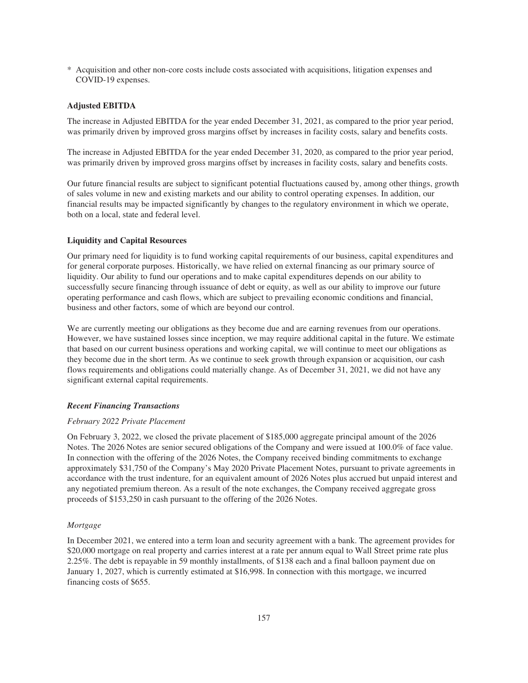\* Acquisition and other non-core costs include costs associated with acquisitions, litigation expenses and COVID-19 expenses.

# **Adjusted EBITDA**

The increase in Adjusted EBITDA for the year ended December 31, 2021, as compared to the prior year period, was primarily driven by improved gross margins offset by increases in facility costs, salary and benefits costs.

The increase in Adjusted EBITDA for the year ended December 31, 2020, as compared to the prior year period, was primarily driven by improved gross margins offset by increases in facility costs, salary and benefits costs.

Our future financial results are subject to significant potential fluctuations caused by, among other things, growth of sales volume in new and existing markets and our ability to control operating expenses. In addition, our financial results may be impacted significantly by changes to the regulatory environment in which we operate, both on a local, state and federal level.

### **Liquidity and Capital Resources**

Our primary need for liquidity is to fund working capital requirements of our business, capital expenditures and for general corporate purposes. Historically, we have relied on external financing as our primary source of liquidity. Our ability to fund our operations and to make capital expenditures depends on our ability to successfully secure financing through issuance of debt or equity, as well as our ability to improve our future operating performance and cash flows, which are subject to prevailing economic conditions and financial, business and other factors, some of which are beyond our control.

We are currently meeting our obligations as they become due and are earning revenues from our operations. However, we have sustained losses since inception, we may require additional capital in the future. We estimate that based on our current business operations and working capital, we will continue to meet our obligations as they become due in the short term. As we continue to seek growth through expansion or acquisition, our cash flows requirements and obligations could materially change. As of December 31, 2021, we did not have any significant external capital requirements.

#### *Recent Financing Transactions*

### *February 2022 Private Placement*

On February 3, 2022, we closed the private placement of \$185,000 aggregate principal amount of the 2026 Notes. The 2026 Notes are senior secured obligations of the Company and were issued at 100.0% of face value. In connection with the offering of the 2026 Notes, the Company received binding commitments to exchange approximately \$31,750 of the Company's May 2020 Private Placement Notes, pursuant to private agreements in accordance with the trust indenture, for an equivalent amount of 2026 Notes plus accrued but unpaid interest and any negotiated premium thereon. As a result of the note exchanges, the Company received aggregate gross proceeds of \$153,250 in cash pursuant to the offering of the 2026 Notes.

#### *Mortgage*

In December 2021, we entered into a term loan and security agreement with a bank. The agreement provides for \$20,000 mortgage on real property and carries interest at a rate per annum equal to Wall Street prime rate plus 2.25%. The debt is repayable in 59 monthly installments, of \$138 each and a final balloon payment due on January 1, 2027, which is currently estimated at \$16,998. In connection with this mortgage, we incurred financing costs of \$655.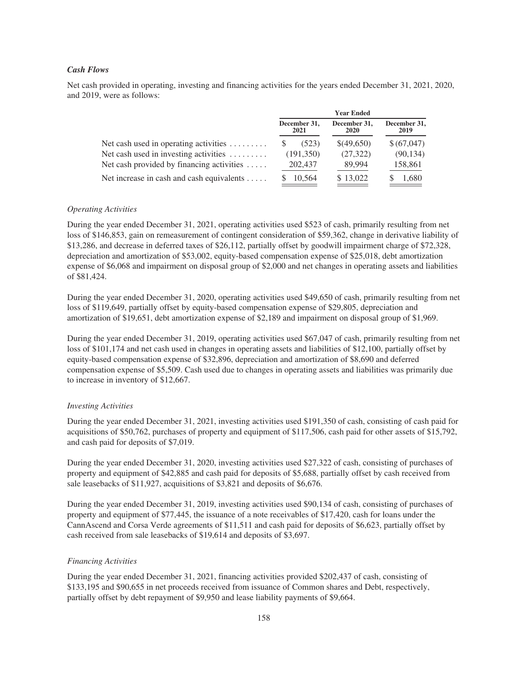# *Cash Flows*

Net cash provided in operating, investing and financing activities for the years ended December 31, 2021, 2020, and 2019, were as follows:

|                                                       | <b>Year Ended</b>    |                             |                      |  |
|-------------------------------------------------------|----------------------|-----------------------------|----------------------|--|
|                                                       | December 31,<br>2021 | December 31,<br><b>2020</b> | December 31,<br>2019 |  |
| Net cash used in operating activities $\ldots \ldots$ | (523)                | \$(49,650)                  | \$(67,047)           |  |
| Net cash used in investing activities $\dots \dots$   | (191,350)            | (27, 322)                   | (90, 134)            |  |
| Net cash provided by financing activities $\dots$ .   | 202,437              | 89,994                      | 158,861              |  |
| Net increase in cash and cash equivalents $\dots$ .   | 10,564               | \$13,022                    | 1,680                |  |

# *Operating Activities*

During the year ended December 31, 2021, operating activities used \$523 of cash, primarily resulting from net loss of \$146,853, gain on remeasurement of contingent consideration of \$59,362, change in derivative liability of \$13,286, and decrease in deferred taxes of \$26,112, partially offset by goodwill impairment charge of \$72,328, depreciation and amortization of \$53,002, equity-based compensation expense of \$25,018, debt amortization expense of \$6,068 and impairment on disposal group of \$2,000 and net changes in operating assets and liabilities of \$81,424.

During the year ended December 31, 2020, operating activities used \$49,650 of cash, primarily resulting from net loss of \$119,649, partially offset by equity-based compensation expense of \$29,805, depreciation and amortization of \$19,651, debt amortization expense of \$2,189 and impairment on disposal group of \$1,969.

During the year ended December 31, 2019, operating activities used \$67,047 of cash, primarily resulting from net loss of \$101,174 and net cash used in changes in operating assets and liabilities of \$12,100, partially offset by equity-based compensation expense of \$32,896, depreciation and amortization of \$8,690 and deferred compensation expense of \$5,509. Cash used due to changes in operating assets and liabilities was primarily due to increase in inventory of \$12,667.

# *Investing Activities*

During the year ended December 31, 2021, investing activities used \$191,350 of cash, consisting of cash paid for acquisitions of \$50,762, purchases of property and equipment of \$117,506, cash paid for other assets of \$15,792, and cash paid for deposits of \$7,019.

During the year ended December 31, 2020, investing activities used \$27,322 of cash, consisting of purchases of property and equipment of \$42,885 and cash paid for deposits of \$5,688, partially offset by cash received from sale leasebacks of \$11,927, acquisitions of \$3,821 and deposits of \$6,676.

During the year ended December 31, 2019, investing activities used \$90,134 of cash, consisting of purchases of property and equipment of \$77,445, the issuance of a note receivables of \$17,420, cash for loans under the CannAscend and Corsa Verde agreements of \$11,511 and cash paid for deposits of \$6,623, partially offset by cash received from sale leasebacks of \$19,614 and deposits of \$3,697.

### *Financing Activities*

During the year ended December 31, 2021, financing activities provided \$202,437 of cash, consisting of \$133,195 and \$90,655 in net proceeds received from issuance of Common shares and Debt, respectively, partially offset by debt repayment of \$9,950 and lease liability payments of \$9,664.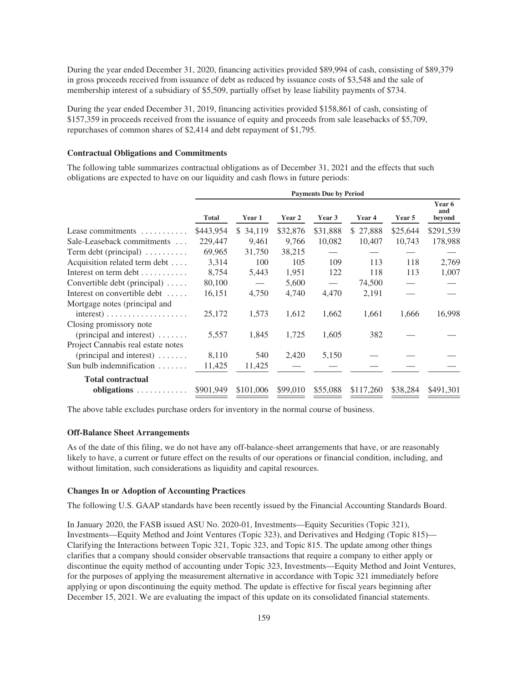During the year ended December 31, 2020, financing activities provided \$89,994 of cash, consisting of \$89,379 in gross proceeds received from issuance of debt as reduced by issuance costs of \$3,548 and the sale of membership interest of a subsidiary of \$5,509, partially offset by lease liability payments of \$734.

During the year ended December 31, 2019, financing activities provided \$158,861 of cash, consisting of \$157,359 in proceeds received from the issuance of equity and proceeds from sale leasebacks of \$5,709, repurchases of common shares of \$2,414 and debt repayment of \$1,795.

#### **Contractual Obligations and Commitments**

The following table summarizes contractual obligations as of December 31, 2021 and the effects that such obligations are expected to have on our liquidity and cash flows in future periods:

|                                                | <b>Payments Due by Period</b> |           |          |          |           |          |                         |
|------------------------------------------------|-------------------------------|-----------|----------|----------|-----------|----------|-------------------------|
|                                                | <b>Total</b>                  | Year 1    | Year 2   | Year 3   | Year 4    | Year 5   | Year 6<br>and<br>beyond |
| Lease commitments $\dots\dots\dots$            | \$443,954                     | \$ 34,119 | \$32,876 | \$31,888 | \$27,888  | \$25,644 | \$291,539               |
| Sale-Leaseback commitments                     | 229,447                       | 9,461     | 9,766    | 10,082   | 10,407    | 10,743   | 178,988                 |
| Term debt (principal) $\dots \dots$            | 69,965                        | 31,750    | 38,215   |          |           |          |                         |
| Acquisition related term debt                  | 3,314                         | 100       | 105      | 109      | 113       | 118      | 2,769                   |
| Interest on term debt                          | 8,754                         | 5,443     | 1,951    | 122      | 118       | 113      | 1,007                   |
| Convertible debt (principal)                   | 80,100                        |           | 5,600    |          | 74,500    |          |                         |
| Interest on convertible debt                   | 16,151                        | 4,750     | 4,740    | 4,470    | 2,191     |          |                         |
| Mortgage notes (principal and                  |                               |           |          |          |           |          |                         |
| $interest) \ldots \ldots \ldots \ldots \ldots$ | 25,172                        | 1,573     | 1,612    | 1,662    | 1,661     | 1,666    | 16,998                  |
| Closing promissory note                        |                               |           |          |          |           |          |                         |
| (principal and interest) $\dots$               | 5,557                         | 1,845     | 1,725    | 1,605    | 382       |          |                         |
| Project Cannabis real estate notes             |                               |           |          |          |           |          |                         |
| (principal and interest) $\dots$               | 8,110                         | 540       | 2,420    | 5,150    |           |          |                         |
| Sun bulb indemnification $\dots\dots$          | 11,425                        | 11,425    |          |          |           |          |                         |
| <b>Total contractual</b>                       |                               |           |          |          |           |          |                         |
| obligations                                    | \$901,949                     | \$101,006 | \$99,010 | \$55,088 | \$117,260 | \$38,284 | \$491,301               |

The above table excludes purchase orders for inventory in the normal course of business.

### **Off-Balance Sheet Arrangements**

As of the date of this filing, we do not have any off-balance-sheet arrangements that have, or are reasonably likely to have, a current or future effect on the results of our operations or financial condition, including, and without limitation, such considerations as liquidity and capital resources.

#### **Changes In or Adoption of Accounting Practices**

The following U.S. GAAP standards have been recently issued by the Financial Accounting Standards Board.

In January 2020, the FASB issued ASU No. 2020-01, Investments—Equity Securities (Topic 321), Investments—Equity Method and Joint Ventures (Topic 323), and Derivatives and Hedging (Topic 815)— Clarifying the Interactions between Topic 321, Topic 323, and Topic 815. The update among other things clarifies that a company should consider observable transactions that require a company to either apply or discontinue the equity method of accounting under Topic 323, Investments—Equity Method and Joint Ventures, for the purposes of applying the measurement alternative in accordance with Topic 321 immediately before applying or upon discontinuing the equity method. The update is effective for fiscal years beginning after December 15, 2021. We are evaluating the impact of this update on its consolidated financial statements.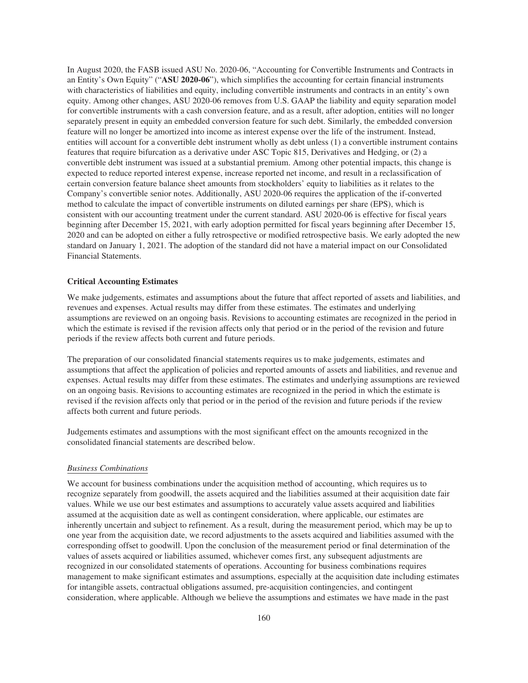In August 2020, the FASB issued ASU No. 2020-06, "Accounting for Convertible Instruments and Contracts in an Entity's Own Equity" ("**ASU 2020-06**"), which simplifies the accounting for certain financial instruments with characteristics of liabilities and equity, including convertible instruments and contracts in an entity's own equity. Among other changes, ASU 2020-06 removes from U.S. GAAP the liability and equity separation model for convertible instruments with a cash conversion feature, and as a result, after adoption, entities will no longer separately present in equity an embedded conversion feature for such debt. Similarly, the embedded conversion feature will no longer be amortized into income as interest expense over the life of the instrument. Instead, entities will account for a convertible debt instrument wholly as debt unless (1) a convertible instrument contains features that require bifurcation as a derivative under ASC Topic 815, Derivatives and Hedging, or (2) a convertible debt instrument was issued at a substantial premium. Among other potential impacts, this change is expected to reduce reported interest expense, increase reported net income, and result in a reclassification of certain conversion feature balance sheet amounts from stockholders' equity to liabilities as it relates to the Company's convertible senior notes. Additionally, ASU 2020-06 requires the application of the if-converted method to calculate the impact of convertible instruments on diluted earnings per share (EPS), which is consistent with our accounting treatment under the current standard. ASU 2020-06 is effective for fiscal years beginning after December 15, 2021, with early adoption permitted for fiscal years beginning after December 15, 2020 and can be adopted on either a fully retrospective or modified retrospective basis. We early adopted the new standard on January 1, 2021. The adoption of the standard did not have a material impact on our Consolidated Financial Statements.

#### **Critical Accounting Estimates**

We make judgements, estimates and assumptions about the future that affect reported of assets and liabilities, and revenues and expenses. Actual results may differ from these estimates. The estimates and underlying assumptions are reviewed on an ongoing basis. Revisions to accounting estimates are recognized in the period in which the estimate is revised if the revision affects only that period or in the period of the revision and future periods if the review affects both current and future periods.

The preparation of our consolidated financial statements requires us to make judgements, estimates and assumptions that affect the application of policies and reported amounts of assets and liabilities, and revenue and expenses. Actual results may differ from these estimates. The estimates and underlying assumptions are reviewed on an ongoing basis. Revisions to accounting estimates are recognized in the period in which the estimate is revised if the revision affects only that period or in the period of the revision and future periods if the review affects both current and future periods.

Judgements estimates and assumptions with the most significant effect on the amounts recognized in the consolidated financial statements are described below.

#### *Business Combinations*

We account for business combinations under the acquisition method of accounting, which requires us to recognize separately from goodwill, the assets acquired and the liabilities assumed at their acquisition date fair values. While we use our best estimates and assumptions to accurately value assets acquired and liabilities assumed at the acquisition date as well as contingent consideration, where applicable, our estimates are inherently uncertain and subject to refinement. As a result, during the measurement period, which may be up to one year from the acquisition date, we record adjustments to the assets acquired and liabilities assumed with the corresponding offset to goodwill. Upon the conclusion of the measurement period or final determination of the values of assets acquired or liabilities assumed, whichever comes first, any subsequent adjustments are recognized in our consolidated statements of operations. Accounting for business combinations requires management to make significant estimates and assumptions, especially at the acquisition date including estimates for intangible assets, contractual obligations assumed, pre-acquisition contingencies, and contingent consideration, where applicable. Although we believe the assumptions and estimates we have made in the past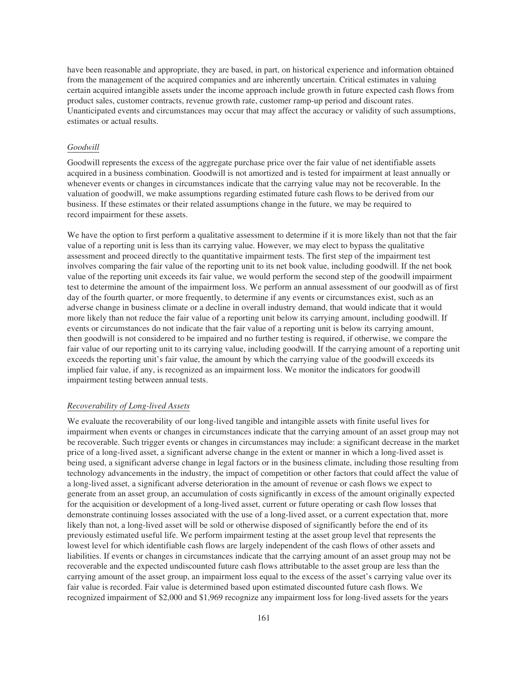have been reasonable and appropriate, they are based, in part, on historical experience and information obtained from the management of the acquired companies and are inherently uncertain. Critical estimates in valuing certain acquired intangible assets under the income approach include growth in future expected cash flows from product sales, customer contracts, revenue growth rate, customer ramp-up period and discount rates. Unanticipated events and circumstances may occur that may affect the accuracy or validity of such assumptions, estimates or actual results.

### *Goodwill*

Goodwill represents the excess of the aggregate purchase price over the fair value of net identifiable assets acquired in a business combination. Goodwill is not amortized and is tested for impairment at least annually or whenever events or changes in circumstances indicate that the carrying value may not be recoverable. In the valuation of goodwill, we make assumptions regarding estimated future cash flows to be derived from our business. If these estimates or their related assumptions change in the future, we may be required to record impairment for these assets.

We have the option to first perform a qualitative assessment to determine if it is more likely than not that the fair value of a reporting unit is less than its carrying value. However, we may elect to bypass the qualitative assessment and proceed directly to the quantitative impairment tests. The first step of the impairment test involves comparing the fair value of the reporting unit to its net book value, including goodwill. If the net book value of the reporting unit exceeds its fair value, we would perform the second step of the goodwill impairment test to determine the amount of the impairment loss. We perform an annual assessment of our goodwill as of first day of the fourth quarter, or more frequently, to determine if any events or circumstances exist, such as an adverse change in business climate or a decline in overall industry demand, that would indicate that it would more likely than not reduce the fair value of a reporting unit below its carrying amount, including goodwill. If events or circumstances do not indicate that the fair value of a reporting unit is below its carrying amount, then goodwill is not considered to be impaired and no further testing is required, if otherwise, we compare the fair value of our reporting unit to its carrying value, including goodwill. If the carrying amount of a reporting unit exceeds the reporting unit's fair value, the amount by which the carrying value of the goodwill exceeds its implied fair value, if any, is recognized as an impairment loss. We monitor the indicators for goodwill impairment testing between annual tests.

#### *Recoverability of Long-lived Assets*

We evaluate the recoverability of our long-lived tangible and intangible assets with finite useful lives for impairment when events or changes in circumstances indicate that the carrying amount of an asset group may not be recoverable. Such trigger events or changes in circumstances may include: a significant decrease in the market price of a long-lived asset, a significant adverse change in the extent or manner in which a long-lived asset is being used, a significant adverse change in legal factors or in the business climate, including those resulting from technology advancements in the industry, the impact of competition or other factors that could affect the value of a long-lived asset, a significant adverse deterioration in the amount of revenue or cash flows we expect to generate from an asset group, an accumulation of costs significantly in excess of the amount originally expected for the acquisition or development of a long-lived asset, current or future operating or cash flow losses that demonstrate continuing losses associated with the use of a long-lived asset, or a current expectation that, more likely than not, a long-lived asset will be sold or otherwise disposed of significantly before the end of its previously estimated useful life. We perform impairment testing at the asset group level that represents the lowest level for which identifiable cash flows are largely independent of the cash flows of other assets and liabilities. If events or changes in circumstances indicate that the carrying amount of an asset group may not be recoverable and the expected undiscounted future cash flows attributable to the asset group are less than the carrying amount of the asset group, an impairment loss equal to the excess of the asset's carrying value over its fair value is recorded. Fair value is determined based upon estimated discounted future cash flows. We recognized impairment of \$2,000 and \$1,969 recognize any impairment loss for long-lived assets for the years